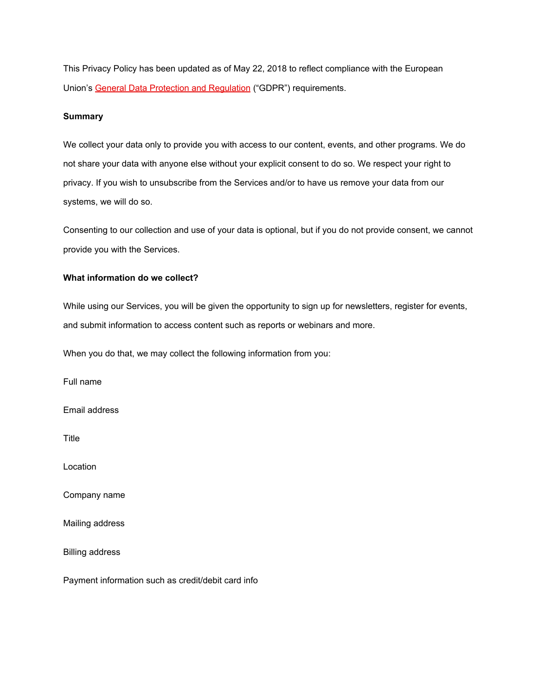This Privacy Policy has been updated as of May 22, 2018 to reflect compliance with the European Union's General Data Protection and [Regulation](https://www.eugdpr.org/) ("GDPR") requirements.

# **Summary**

We collect your data only to provide you with access to our content, events, and other programs. We do not share your data with anyone else without your explicit consent to do so. We respect your right to privacy. If you wish to unsubscribe from the Services and/or to have us remove your data from our systems, we will do so.

Consenting to our collection and use of your data is optional, but if you do not provide consent, we cannot provide you with the Services.

# **What information do we collect?**

While using our Services, you will be given the opportunity to sign up for newsletters, register for events, and submit information to access content such as reports or webinars and more.

When you do that, we may collect the following information from you:

Full name

Email address

**Title** 

Location

Company name

Mailing address

Billing address

Payment information such as credit/debit card info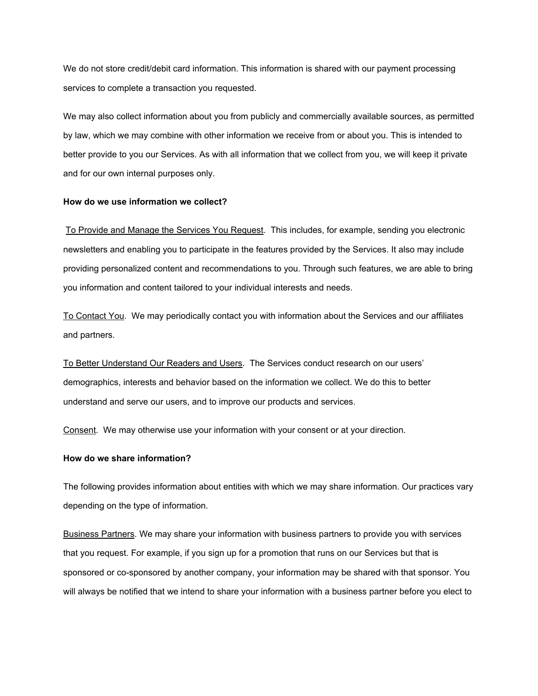We do not store credit/debit card information. This information is shared with our payment processing services to complete a transaction you requested.

We may also collect information about you from publicly and commercially available sources, as permitted by law, which we may combine with other information we receive from or about you. This is intended to better provide to you our Services. As with all information that we collect from you, we will keep it private and for our own internal purposes only.

## **How do we use information we collect?**

To Provide and Manage the Services You Request. This includes, for example, sending you electronic newsletters and enabling you to participate in the features provided by the Services. It also may include providing personalized content and recommendations to you. Through such features, we are able to bring you information and content tailored to your individual interests and needs.

To Contact You. We may periodically contact you with information about the Services and our affiliates and partners.

To Better Understand Our Readers and Users. The Services conduct research on our users' demographics, interests and behavior based on the information we collect. We do this to better understand and serve our users, and to improve our products and services.

Consent. We may otherwise use your information with your consent or at your direction.

## **How do we share information?**

The following provides information about entities with which we may share information. Our practices vary depending on the type of information.

Business Partners. We may share your information with business partners to provide you with services that you request. For example, if you sign up for a promotion that runs on our Services but that is sponsored or co-sponsored by another company, your information may be shared with that sponsor. You will always be notified that we intend to share your information with a business partner before you elect to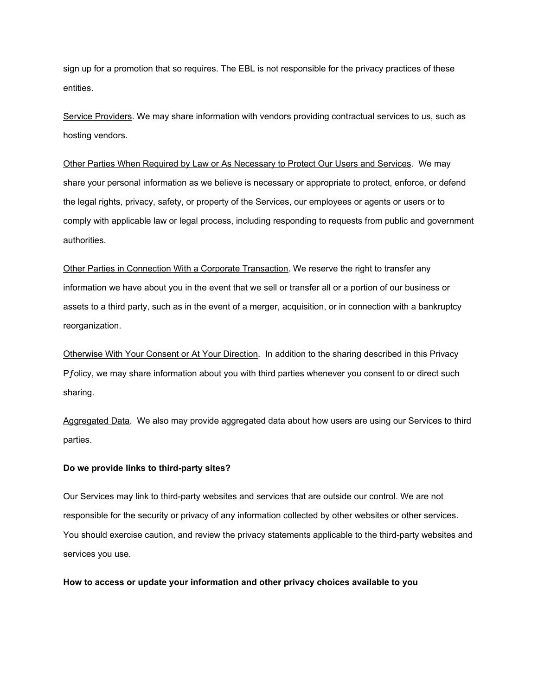sign up for a promotion that so requires. The EBL is not responsible for the privacy practices of these entities.

Service Providers. We may share information with vendors providing contractual services to us, such as hosting vendors.

Other Parties When Required by Law or As Necessary to Protect Our Users and Services. We may share your personal information as we believe is necessary or appropriate to protect, enforce, or defend the legal rights, privacy, safety, or property of the Services, our employees or agents or users or to comply with applicable law or legal process, including responding to requests from public and government authorities.

Other Parties in Connection With a Corporate Transaction. We reserve the right to transfer any information we have about you in the event that we sell or transfer all or a portion of our business or assets to a third party, such as in the event of a merger, acquisition, or in connection with a bankruptcy reorganization.

Otherwise With Your Consent or At Your Direction. In addition to the sharing described in this Privacy Pƒolicy, we may share information about you with third parties whenever you consent to or direct such sharing.

Aggregated Data. We also may provide aggregated data about how users are using our Services to third parties.

## **Do we provide links to third-party sites?**

Our Services may link to third-party websites and services that are outside our control. We are not responsible for the security or privacy of any information collected by other websites or other services. You should exercise caution, and review the privacy statements applicable to the third-party websites and services you use.

**How to access or update your information and other privacy choices available to you**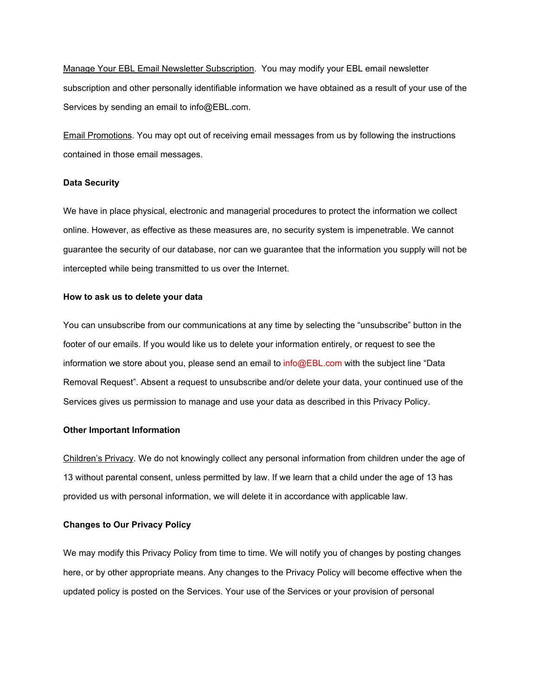Manage Your EBL Email Newsletter Subscription. You may modify your EBL email newsletter subscription and other personally identifiable information we have obtained as a result of your use of the Services by sending an email to info@EBL.com.

Email Promotions. You may opt out of receiving email messages from us by following the instructions contained in those email messages.

## **Data Security**

We have in place physical, electronic and managerial procedures to protect the information we collect online. However, as effective as these measures are, no security system is impenetrable. We cannot guarantee the security of our database, nor can we guarantee that the information you supply will not be intercepted while being transmitted to us over the Internet.

#### **How to ask us to delete your data**

You can unsubscribe from our communications at any time by selecting the "unsubscribe" button in the footer of our emails. If you would like us to delete your information entirely, or request to see the information we store about you, please send an email to info@EBL.com with the subject line "Data Removal Request". Absent a request to unsubscribe and/or delete your data, your continued use of the Services gives us permission to manage and use your data as described in this Privacy Policy.

## **Other Important Information**

Children's Privacy. We do not knowingly collect any personal information from children under the age of 13 without parental consent, unless permitted by law. If we learn that a child under the age of 13 has provided us with personal information, we will delete it in accordance with applicable law.

## **Changes to Our Privacy Policy**

We may modify this Privacy Policy from time to time. We will notify you of changes by posting changes here, or by other appropriate means. Any changes to the Privacy Policy will become effective when the updated policy is posted on the Services. Your use of the Services or your provision of personal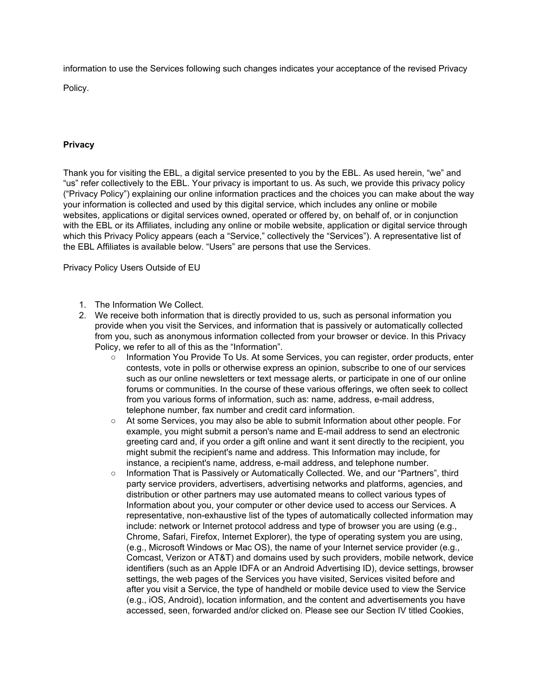information to use the Services following such changes indicates your acceptance of the revised Privacy Policy.

# **Privacy**

Thank you for visiting the EBL, a digital service presented to you by the EBL. As used herein, "we" and "us" refer collectively to the EBL. Your privacy is important to us. As such, we provide this privacy policy ("Privacy Policy") explaining our online information practices and the choices you can make about the way your information is collected and used by this digital service, which includes any online or mobile websites, applications or digital services owned, operated or offered by, on behalf of, or in conjunction with the EBL or its Affiliates, including any online or mobile website, application or digital service through which this Privacy Policy appears (each a "Service," collectively the "Services"). A representative list of the EBL Affiliates is available below. "Users" are persons that use the Services.

Privacy Policy Users Outside of EU

- 1. The Information We Collect.
- 2. We receive both information that is directly provided to us, such as personal information you provide when you visit the Services, and information that is passively or automatically collected from you, such as anonymous information collected from your browser or device. In this Privacy Policy, we refer to all of this as the "Information".
	- Information You Provide To Us. At some Services, you can register, order products, enter contests, vote in polls or otherwise express an opinion, subscribe to one of our services such as our online newsletters or text message alerts, or participate in one of our online forums or communities. In the course of these various offerings, we often seek to collect from you various forms of information, such as: name, address, e-mail address, telephone number, fax number and credit card information.
	- At some Services, you may also be able to submit Information about other people. For example, you might submit a person's name and E-mail address to send an electronic greeting card and, if you order a gift online and want it sent directly to the recipient, you might submit the recipient's name and address. This Information may include, for instance, a recipient's name, address, e-mail address, and telephone number.
	- Information That is Passively or Automatically Collected. We, and our "Partners", third party service providers, advertisers, advertising networks and platforms, agencies, and distribution or other partners may use automated means to collect various types of Information about you, your computer or other device used to access our Services. A representative, non-exhaustive list of the types of automatically collected information may include: network or Internet protocol address and type of browser you are using (e.g., Chrome, Safari, Firefox, Internet Explorer), the type of operating system you are using, (e.g., Microsoft Windows or Mac OS), the name of your Internet service provider (e.g., Comcast, Verizon or AT&T) and domains used by such providers, mobile network, device identifiers (such as an Apple IDFA or an Android Advertising ID), device settings, browser settings, the web pages of the Services you have visited, Services visited before and after you visit a Service, the type of handheld or mobile device used to view the Service (e.g., iOS, Android), location information, and the content and advertisements you have accessed, seen, forwarded and/or clicked on. Please see our Section IV titled Cookies,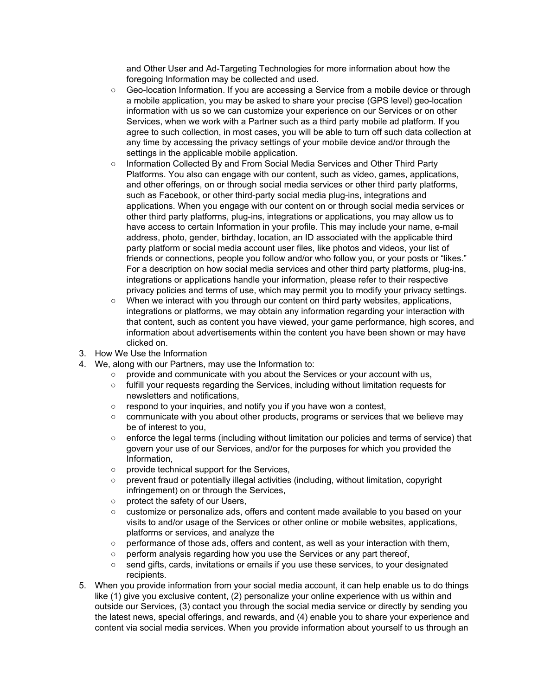and Other User and Ad-Targeting Technologies for more information about how the foregoing Information may be collected and used.

- Geo-location Information. If you are accessing a Service from a mobile device or through a mobile application, you may be asked to share your precise (GPS level) geo-location information with us so we can customize your experience on our Services or on other Services, when we work with a Partner such as a third party mobile ad platform. If you agree to such collection, in most cases, you will be able to turn off such data collection at any time by accessing the privacy settings of your mobile device and/or through the settings in the applicable mobile application.
- Information Collected By and From Social Media Services and Other Third Party Platforms. You also can engage with our content, such as video, games, applications, and other offerings, on or through social media services or other third party platforms, such as Facebook, or other third-party social media plug-ins, integrations and applications. When you engage with our content on or through social media services or other third party platforms, plug-ins, integrations or applications, you may allow us to have access to certain Information in your profile. This may include your name, e-mail address, photo, gender, birthday, location, an ID associated with the applicable third party platform or social media account user files, like photos and videos, your list of friends or connections, people you follow and/or who follow you, or your posts or "likes." For a description on how social media services and other third party platforms, plug-ins, integrations or applications handle your information, please refer to their respective privacy policies and terms of use, which may permit you to modify your privacy settings.
- When we interact with you through our content on third party websites, applications, integrations or platforms, we may obtain any information regarding your interaction with that content, such as content you have viewed, your game performance, high scores, and information about advertisements within the content you have been shown or may have clicked on.
- 3. How We Use the Information
- 4. We, along with our Partners, may use the Information to:
	- provide and communicate with you about the Services or your account with us,
	- fulfill your requests regarding the Services, including without limitation requests for newsletters and notifications,
	- respond to your inquiries, and notify you if you have won a contest,
	- communicate with you about other products, programs or services that we believe may be of interest to you,
	- enforce the legal terms (including without limitation our policies and terms of service) that govern your use of our Services, and/or for the purposes for which you provided the Information,
	- provide technical support for the Services,
	- prevent fraud or potentially illegal activities (including, without limitation, copyright infringement) on or through the Services,
	- protect the safety of our Users,
	- customize or personalize ads, offers and content made available to you based on your visits to and/or usage of the Services or other online or mobile websites, applications, platforms or services, and analyze the
	- performance of those ads, offers and content, as well as your interaction with them,
	- perform analysis regarding how you use the Services or any part thereof,
	- send gifts, cards, invitations or emails if you use these services, to your designated recipients.
- 5. When you provide information from your social media account, it can help enable us to do things like (1) give you exclusive content, (2) personalize your online experience with us within and outside our Services, (3) contact you through the social media service or directly by sending you the latest news, special offerings, and rewards, and (4) enable you to share your experience and content via social media services. When you provide information about yourself to us through an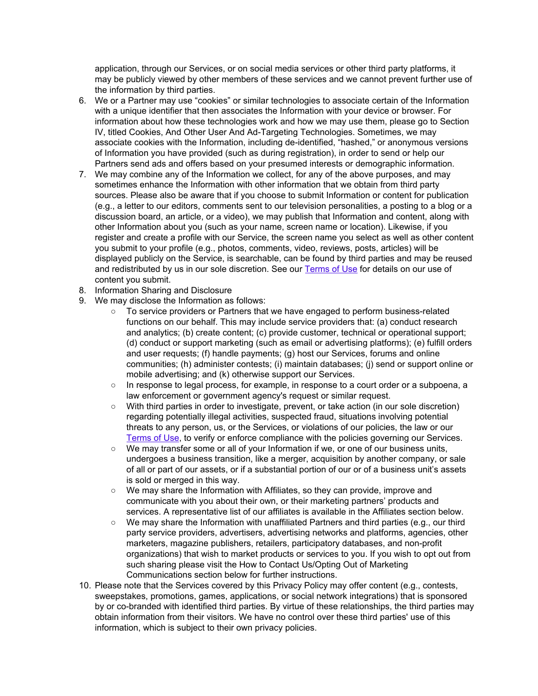application, through our Services, or on social media services or other third party platforms, it may be publicly viewed by other members of these services and we cannot prevent further use of the information by third parties.

- 6. We or a Partner may use "cookies" or similar technologies to associate certain of the Information with a unique identifier that then associates the Information with your device or browser. For information about how these technologies work and how we may use them, please go to Section IV, titled Cookies, And Other User And Ad-Targeting Technologies. Sometimes, we may associate cookies with the Information, including de-identified, "hashed," or anonymous versions of Information you have provided (such as during registration), in order to send or help our Partners send ads and offers based on your presumed interests or demographic information.
- 7. We may combine any of the Information we collect, for any of the above purposes, and may sometimes enhance the Information with other information that we obtain from third party sources. Please also be aware that if you choose to submit Information or content for publication (e.g., a letter to our editors, comments sent to our television personalities, a posting to a blog or a discussion board, an article, or a video), we may publish that Information and content, along with other Information about you (such as your name, screen name or location). Likewise, if you register and create a profile with our Service, the screen name you select as well as other content you submit to your profile (e.g., photos, comments, video, reviews, posts, articles) will be displayed publicly on the Service, is searchable, can be found by third parties and may be reused and redistributed by us in our sole discretion. See our [Terms](http://bleacherreport.com/terms) of Use for details on our use of content you submit.
- 8. Information Sharing and Disclosure
- 9. We may disclose the Information as follows:
	- To service providers or Partners that we have engaged to perform business-related functions on our behalf. This may include service providers that: (a) conduct research and analytics; (b) create content; (c) provide customer, technical or operational support; (d) conduct or support marketing (such as email or advertising platforms); (e) fulfill orders and user requests; (f) handle payments; (g) host our Services, forums and online communities; (h) administer contests; (i) maintain databases; (j) send or support online or mobile advertising; and (k) otherwise support our Services.
	- In response to legal process, for example, in response to a court order or a subpoena, a law enforcement or government agency's request or similar request.
	- With third parties in order to investigate, prevent, or take action (in our sole discretion) regarding potentially illegal activities, suspected fraud, situations involving potential threats to any person, us, or the Services, or violations of our policies, the law or our [Terms](http://bleacherreport.com/terms) of Use, to verify or enforce compliance with the policies governing our Services.
	- We may transfer some or all of your Information if we, or one of our business units, undergoes a business transition, like a merger, acquisition by another company, or sale of all or part of our assets, or if a substantial portion of our or of a business unit's assets is sold or merged in this way.
	- We may share the Information with Affiliates, so they can provide, improve and communicate with you about their own, or their marketing partners' products and services. A representative list of our affiliates is available in the Affiliates section below.
	- We may share the Information with unaffiliated Partners and third parties (e.g., our third party service providers, advertisers, advertising networks and platforms, agencies, other marketers, magazine publishers, retailers, participatory databases, and non-profit organizations) that wish to market products or services to you. If you wish to opt out from such sharing please visit the How to Contact Us/Opting Out of Marketing Communications section below for further instructions.
- 10. Please note that the Services covered by this Privacy Policy may offer content (e.g., contests, sweepstakes, promotions, games, applications, or social network integrations) that is sponsored by or co-branded with identified third parties. By virtue of these relationships, the third parties may obtain information from their visitors. We have no control over these third parties' use of this information, which is subject to their own privacy policies.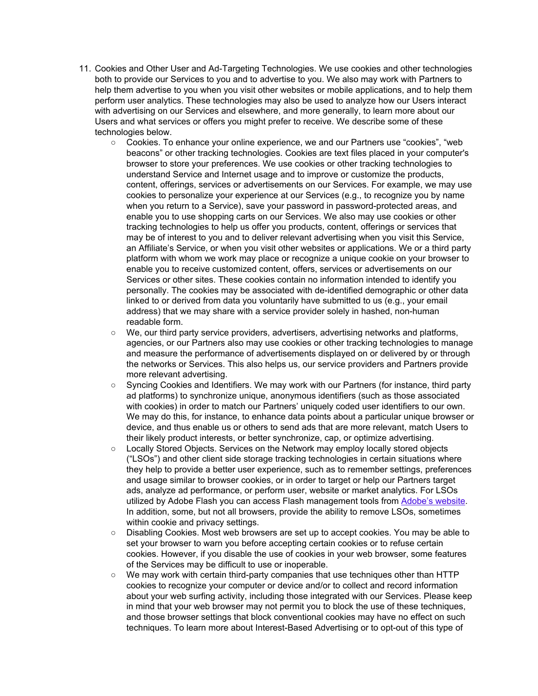- 11. Cookies and Other User and Ad-Targeting Technologies. We use cookies and other technologies both to provide our Services to you and to advertise to you. We also may work with Partners to help them advertise to you when you visit other websites or mobile applications, and to help them perform user analytics. These technologies may also be used to analyze how our Users interact with advertising on our Services and elsewhere, and more generally, to learn more about our Users and what services or offers you might prefer to receive. We describe some of these technologies below.
	- Cookies. To enhance your online experience, we and our Partners use "cookies", "web beacons" or other tracking technologies. Cookies are text files placed in your computer's browser to store your preferences. We use cookies or other tracking technologies to understand Service and Internet usage and to improve or customize the products, content, offerings, services or advertisements on our Services. For example, we may use cookies to personalize your experience at our Services (e.g., to recognize you by name when you return to a Service), save your password in password-protected areas, and enable you to use shopping carts on our Services. We also may use cookies or other tracking technologies to help us offer you products, content, offerings or services that may be of interest to you and to deliver relevant advertising when you visit this Service, an Affiliate's Service, or when you visit other websites or applications. We or a third party platform with whom we work may place or recognize a unique cookie on your browser to enable you to receive customized content, offers, services or advertisements on our Services or other sites. These cookies contain no information intended to identify you personally. The cookies may be associated with de-identified demographic or other data linked to or derived from data you voluntarily have submitted to us (e.g., your email address) that we may share with a service provider solely in hashed, non-human readable form.
	- We, our third party service providers, advertisers, advertising networks and platforms, agencies, or our Partners also may use cookies or other tracking technologies to manage and measure the performance of advertisements displayed on or delivered by or through the networks or Services. This also helps us, our service providers and Partners provide more relevant advertising.
	- Syncing Cookies and Identifiers. We may work with our Partners (for instance, third party ad platforms) to synchronize unique, anonymous identifiers (such as those associated with cookies) in order to match our Partners' uniquely coded user identifiers to our own. We may do this, for instance, to enhance data points about a particular unique browser or device, and thus enable us or others to send ads that are more relevant, match Users to their likely product interests, or better synchronize, cap, or optimize advertising.
	- Locally Stored Objects. Services on the Network may employ locally stored objects ("LSOs") and other client side storage tracking technologies in certain situations where they help to provide a better user experience, such as to remember settings, preferences and usage similar to browser cookies, or in order to target or help our Partners target ads, analyze ad performance, or perform user, website or market analytics. For LSOs utilized by Adobe Flash you can access Flash management tools from [Adobe's](http://www.macromedia.com/support/documentation/en/flashplayer/help/settings_manager07.html) website. In addition, some, but not all browsers, provide the ability to remove LSOs, sometimes within cookie and privacy settings.
	- Disabling Cookies. Most web browsers are set up to accept cookies. You may be able to set your browser to warn you before accepting certain cookies or to refuse certain cookies. However, if you disable the use of cookies in your web browser, some features of the Services may be difficult to use or inoperable.
	- We may work with certain third-party companies that use techniques other than HTTP cookies to recognize your computer or device and/or to collect and record information about your web surfing activity, including those integrated with our Services. Please keep in mind that your web browser may not permit you to block the use of these techniques, and those browser settings that block conventional cookies may have no effect on such techniques. To learn more about Interest-Based Advertising or to opt-out of this type of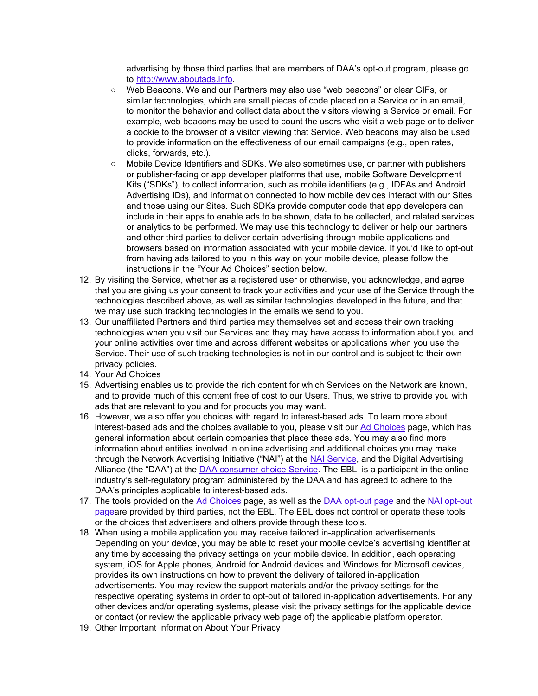advertising by those third parties that are members of DAA's opt-out program, please go to [http://www.aboutads.info.](http://www.aboutads.info/)

- Web Beacons. We and our Partners may also use "web beacons" or clear GIFs, or similar technologies, which are small pieces of code placed on a Service or in an email, to monitor the behavior and collect data about the visitors viewing a Service or email. For example, web beacons may be used to count the users who visit a web page or to deliver a cookie to the browser of a visitor viewing that Service. Web beacons may also be used to provide information on the effectiveness of our email campaigns (e.g., open rates, clicks, forwards, etc.).
- Mobile Device Identifiers and SDKs. We also sometimes use, or partner with publishers or publisher-facing or app developer platforms that use, mobile Software Development Kits ("SDKs"), to collect information, such as mobile identifiers (e.g., IDFAs and Android Advertising IDs), and information connected to how mobile devices interact with our Sites and those using our Sites. Such SDKs provide computer code that app developers can include in their apps to enable ads to be shown, data to be collected, and related services or analytics to be performed. We may use this technology to deliver or help our partners and other third parties to deliver certain advertising through mobile applications and browsers based on information associated with your mobile device. If you'd like to opt-out from having ads tailored to you in this way on your mobile device, please follow the instructions in the "Your Ad Choices" section below.
- 12. By visiting the Service, whether as a registered user or otherwise, you acknowledge, and agree that you are giving us your consent to track your activities and your use of the Service through the technologies described above, as well as similar technologies developed in the future, and that we may use such tracking technologies in the emails we send to you.
- 13. Our unaffiliated Partners and third parties may themselves set and access their own tracking technologies when you visit our Services and they may have access to information about you and your online activities over time and across different websites or applications when you use the Service. Their use of such tracking technologies is not in our control and is subject to their own privacy policies.
- 14. Your Ad Choices
- 15. Advertising enables us to provide the rich content for which Services on the Network are known, and to provide much of this content free of cost to our Users. Thus, we strive to provide you with ads that are relevant to you and for products you may want.
- 16. However, we also offer you choices with regard to interest-based ads. To learn more about interest-based ads and the choices available to you, please visit our Ad [Choices](https://bleacherreport.com/pages/privacy#) page, which has general information about certain companies that place these ads. You may also find more information about entities involved in online advertising and additional choices you may make through the Network Advertising Initiative ("NAI") at the NAI [Service,](http://www.networkadvertising.org/) and the Digital Advertising Alliance (the "DAA") at the **DAA [consumer](http://www.aboutads.info/) choice Service**. The EBL is a participant in the online industry's self-regulatory program administered by the DAA and has agreed to adhere to the DAA's principles applicable to interest-based ads.
- 17. The tools provided on the Ad [Choices](https://bleacherreport.com/pages/privacy#) page, as well as the DAA [opt-out](http://www.networkadvertising.org/managing/opt_out.asp) page and the NAI opt-out [page](http://www.networkadvertising.org/managing/opt_out.asp)are provided by third parties, not the EBL. The EBL does not control or operate these tools or the choices that advertisers and others provide through these tools.
- 18. When using a mobile application you may receive tailored in-application advertisements. Depending on your device, you may be able to reset your mobile device's advertising identifier at any time by accessing the privacy settings on your mobile device. In addition, each operating system, iOS for Apple phones, Android for Android devices and Windows for Microsoft devices, provides its own instructions on how to prevent the delivery of tailored in-application advertisements. You may review the support materials and/or the privacy settings for the respective operating systems in order to opt-out of tailored in-application advertisements. For any other devices and/or operating systems, please visit the privacy settings for the applicable device or contact (or review the applicable privacy web page of) the applicable platform operator.
- 19. Other Important Information About Your Privacy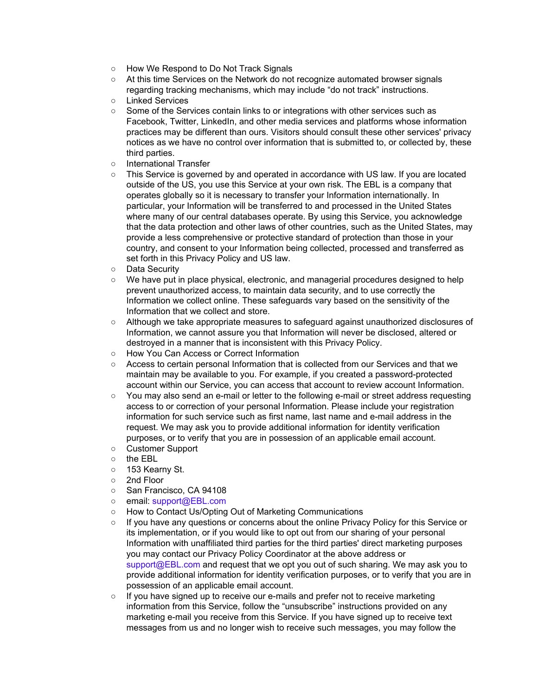- How We Respond to Do Not Track Signals
- At this time Services on the Network do not recognize automated browser signals regarding tracking mechanisms, which may include "do not track" instructions.
- Linked Services
- Some of the Services contain links to or integrations with other services such as Facebook, Twitter, LinkedIn, and other media services and platforms whose information practices may be different than ours. Visitors should consult these other services' privacy notices as we have no control over information that is submitted to, or collected by, these third parties.
- International Transfer
- This Service is governed by and operated in accordance with US law. If you are located outside of the US, you use this Service at your own risk. The EBL is a company that operates globally so it is necessary to transfer your Information internationally. In particular, your Information will be transferred to and processed in the United States where many of our central databases operate. By using this Service, you acknowledge that the data protection and other laws of other countries, such as the United States, may provide a less comprehensive or protective standard of protection than those in your country, and consent to your Information being collected, processed and transferred as set forth in this Privacy Policy and US law.
- Data Security
- We have put in place physical, electronic, and managerial procedures designed to help prevent unauthorized access, to maintain data security, and to use correctly the Information we collect online. These safeguards vary based on the sensitivity of the Information that we collect and store.
- Although we take appropriate measures to safeguard against unauthorized disclosures of Information, we cannot assure you that Information will never be disclosed, altered or destroyed in a manner that is inconsistent with this Privacy Policy.
- How You Can Access or Correct Information
- Access to certain personal Information that is collected from our Services and that we maintain may be available to you. For example, if you created a password-protected account within our Service, you can access that account to review account Information.
- You may also send an e-mail or letter to the following e-mail or street address requesting access to or correction of your personal Information. Please include your registration information for such service such as first name, last name and e-mail address in the request. We may ask you to provide additional information for identity verification purposes, or to verify that you are in possession of an applicable email account.
- Customer Support
- the EBL
- o 153 Kearny St.
- 2nd Floor
- San Francisco, CA 94108
- email: support@EBL.com
- How to Contact Us/Opting Out of Marketing Communications
- If you have any questions or concerns about the online Privacy Policy for this Service or its implementation, or if you would like to opt out from our sharing of your personal Information with unaffiliated third parties for the third parties' direct marketing purposes you may contact our Privacy Policy Coordinator at the above address or support@EBL.com and request that we opt you out of such sharing. We may ask you to provide additional information for identity verification purposes, or to verify that you are in possession of an applicable email account.
- If you have signed up to receive our e-mails and prefer not to receive marketing information from this Service, follow the "unsubscribe" instructions provided on any marketing e-mail you receive from this Service. If you have signed up to receive text messages from us and no longer wish to receive such messages, you may follow the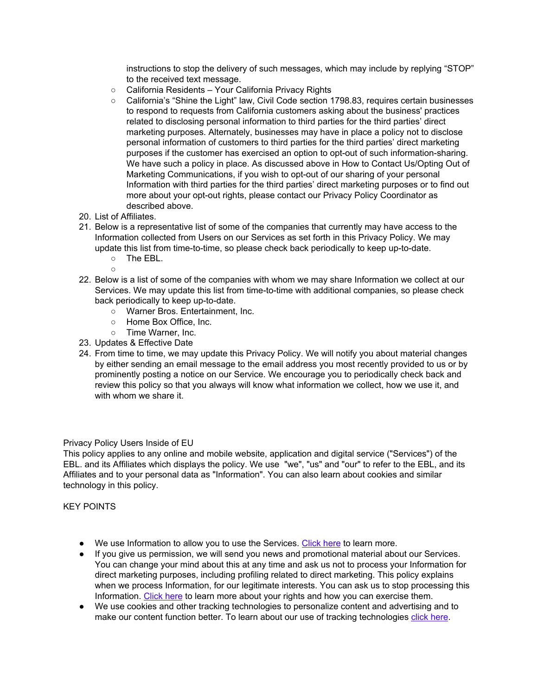instructions to stop the delivery of such messages, which may include by replying "STOP" to the received text message.

- California Residents Your California Privacy Rights
- California's "Shine the Light" law, Civil Code section 1798.83, requires certain businesses to respond to requests from California customers asking about the business' practices related to disclosing personal information to third parties for the third parties' direct marketing purposes. Alternately, businesses may have in place a policy not to disclose personal information of customers to third parties for the third parties' direct marketing purposes if the customer has exercised an option to opt-out of such information-sharing. We have such a policy in place. As discussed above in How to Contact Us/Opting Out of Marketing Communications, if you wish to opt-out of our sharing of your personal Information with third parties for the third parties' direct marketing purposes or to find out more about your opt-out rights, please contact our Privacy Policy Coordinator as described above.
- 20. List of Affiliates.
- 21. Below is a representative list of some of the companies that currently may have access to the Information collected from Users on our Services as set forth in this Privacy Policy. We may update this list from time-to-time, so please check back periodically to keep up-to-date.
	- The EBL.
	- $\triangle$
- 22. Below is a list of some of the companies with whom we may share Information we collect at our Services. We may update this list from time-to-time with additional companies, so please check back periodically to keep up-to-date.
	- Warner Bros. Entertainment, Inc.
	- Home Box Office, Inc.
	- Time Warner, Inc.
- 23. Updates & Effective Date
- 24. From time to time, we may update this Privacy Policy. We will notify you about material changes by either sending an email message to the email address you most recently provided to us or by prominently posting a notice on our Service. We encourage you to periodically check back and review this policy so that you always will know what information we collect, how we use it, and with whom we share it.

# Privacy Policy Users Inside of EU

This policy applies to any online and mobile website, application and digital service ("Services") of the EBL. and its Affiliates which displays the policy. We use "we", "us" and "our" to refer to the EBL, and its Affiliates and to your personal data as "Information". You can also learn about cookies and similar technology in this policy.

KEY POINTS

- We use Information to allow you to use the Services. [Click](https://bleacherreport.com/pages/privacy#eu-section-1) here to learn more.
- If you give us permission, we will send you news and promotional material about our Services. You can change your mind about this at any time and ask us not to process your Information for direct marketing purposes, including profiling related to direct marketing. This policy explains when we process Information, for our legitimate interests. You can ask us to stop processing this Information. [Click](https://bleacherreport.com/pages/privacy#eu-section-4) here to learn more about your rights and how you can exercise them.
- We use cookies and other tracking technologies to personalize content and advertising and to make our content function better. To learn about our use of tracking technologies click [here](https://bleacherreport.com/pages/privacy#eu-section-4).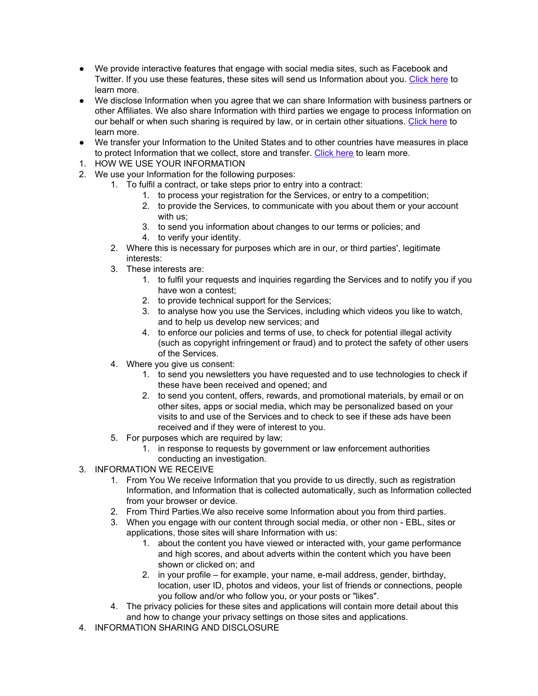- We provide interactive features that engage with social media sites, such as Facebook and Twitter. If you use these features, these sites will send us Information about you. [Click](https://bleacherreport.com/pages/privacy#eu-section-2) here to learn more.
- We disclose Information when you agree that we can share Information with business partners or other Affiliates. We also share Information with third parties we engage to process Information on our behalf or when such sharing is required by law, or in certain other situations. [Click](https://bleacherreport.com/pages/privacy#eu-section-3) here to learn more.
- We transfer your Information to the United States and to other countries have measures in place to protect Information that we collect, store and transfer. [Click](https://bleacherreport.com/pages/privacy#eu-section-1) here to learn more.
- 1. HOW WE USE YOUR INFORMATION
- 2. We use your Information for the following purposes:
	- 1. To fulfil a contract, or take steps prior to entry into a contract:
		- 1. to process your registration for the Services, or entry to a competition;
		- 2. to provide the Services, to communicate with you about them or your account with us;
		- 3. to send you information about changes to our terms or policies; and
		- 4. to verify your identity.
	- 2. Where this is necessary for purposes which are in our, or third parties', legitimate interests:
	- 3. These interests are:
		- 1. to fulfil your requests and inquiries regarding the Services and to notify you if you have won a contest;
		- 2. to provide technical support for the Services;
		- 3. to analyse how you use the Services, including which videos you like to watch, and to help us develop new services; and
		- 4. to enforce our policies and terms of use, to check for potential illegal activity (such as copyright infringement or fraud) and to protect the safety of other users of the Services.
	- 4. Where you give us consent:
		- 1. to send you newsletters you have requested and to use technologies to check if these have been received and opened; and
		- 2. to send you content, offers, rewards, and promotional materials, by email or on other sites, apps or social media, which may be personalized based on your visits to and use of the Services and to check to see if these ads have been received and if they were of interest to you.
	- 5. For purposes which are required by law;
		- 1. in response to requests by government or law enforcement authorities conducting an investigation.
- 3. INFORMATION WE RECEIVE
	- 1. From You We receive Information that you provide to us directly, such as registration Information, and Information that is collected automatically, such as Information collected from your browser or device.
	- 2. From Third Parties.We also receive some Information about you from third parties.
	- 3. When you engage with our content through social media, or other non EBL, sites or applications, those sites will share Information with us:
		- 1. about the content you have viewed or interacted with, your game performance and high scores, and about adverts within the content which you have been shown or clicked on; and
		- 2. in your profile for example, your name, e-mail address, gender, birthday, location, user ID, photos and videos, your list of friends or connections, people you follow and/or who follow you, or your posts or "likes".
	- 4. The privacy policies for these sites and applications will contain more detail about this and how to change your privacy settings on those sites and applications.
- 4. INFORMATION SHARING AND DISCLOSURE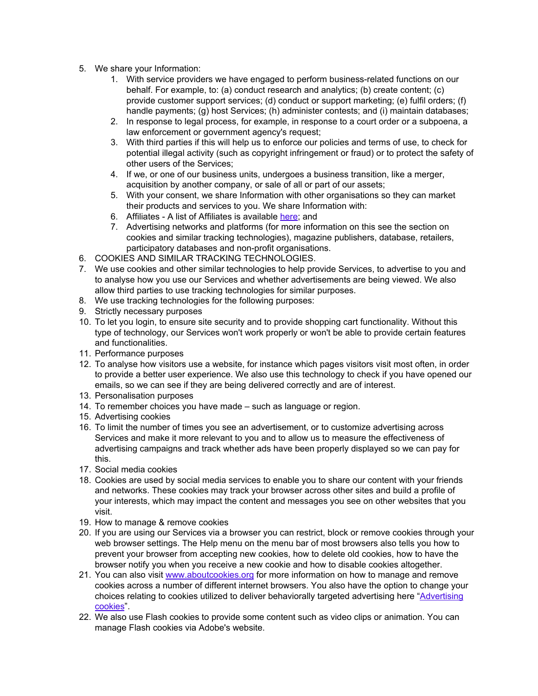- 5. We share your Information:
	- 1. With service providers we have engaged to perform business-related functions on our behalf. For example, to: (a) conduct research and analytics; (b) create content; (c) provide customer support services; (d) conduct or support marketing; (e) fulfil orders; (f) handle payments; (g) host Services; (h) administer contests; and (i) maintain databases;
	- 2. In response to legal process, for example, in response to a court order or a subpoena, a law enforcement or government agency's request;
	- 3. With third parties if this will help us to enforce our policies and terms of use, to check for potential illegal activity (such as copyright infringement or fraud) or to protect the safety of other users of the Services;
	- 4. If we, or one of our business units, undergoes a business transition, like a merger, acquisition by another company, or sale of all or part of our assets;
	- 5. With your consent, we share Information with other organisations so they can market their products and services to you. We share Information with:
	- 6. Affiliates A list of Affiliates is available [here](https://bleacherreport.com/pages/privacy#affiliates-list); and
	- 7. Advertising networks and platforms (for more information on this see the section on cookies and similar tracking technologies), magazine publishers, database, retailers, participatory databases and non-profit organisations.
- 6. COOKIES AND SIMILAR TRACKING TECHNOLOGIES.
- 7. We use cookies and other similar technologies to help provide Services, to advertise to you and to analyse how you use our Services and whether advertisements are being viewed. We also allow third parties to use tracking technologies for similar purposes.
- 8. We use tracking technologies for the following purposes:
- 9. Strictly necessary purposes
- 10. To let you login, to ensure site security and to provide shopping cart functionality. Without this type of technology, our Services won't work properly or won't be able to provide certain features and functionalities.
- 11. Performance purposes
- 12. To analyse how visitors use a website, for instance which pages visitors visit most often, in order to provide a better user experience. We also use this technology to check if you have opened our emails, so we can see if they are being delivered correctly and are of interest.
- 13. Personalisation purposes
- 14. To remember choices you have made such as language or region.
- 15. Advertising cookies
- 16. To limit the number of times you see an advertisement, or to customize advertising across Services and make it more relevant to you and to allow us to measure the effectiveness of advertising campaigns and track whether ads have been properly displayed so we can pay for this.
- 17. Social media cookies
- 18. Cookies are used by social media services to enable you to share our content with your friends and networks. These cookies may track your browser across other sites and build a profile of your interests, which may impact the content and messages you see on other websites that you visit.
- 19. How to manage & remove cookies
- 20. If you are using our Services via a browser you can restrict, block or remove cookies through your web browser settings. The Help menu on the menu bar of most browsers also tells you how to prevent your browser from accepting new cookies, how to delete old cookies, how to have the browser notify you when you receive a new cookie and how to disable cookies altogether.
- 21. You can also visit [www.aboutcookies.org](https://www.aboutcookies.org/) for more information on how to manage and remove cookies across a number of different internet browsers. You also have the option to change your choices relating to cookies utilized to deliver behaviorally targeted advertising here ["Advertising](https://www.youronlinechoices.com/) [cookies"](https://www.youronlinechoices.com/).
- 22. We also use Flash cookies to provide some content such as video clips or animation. You can manage Flash cookies via Adobe's website.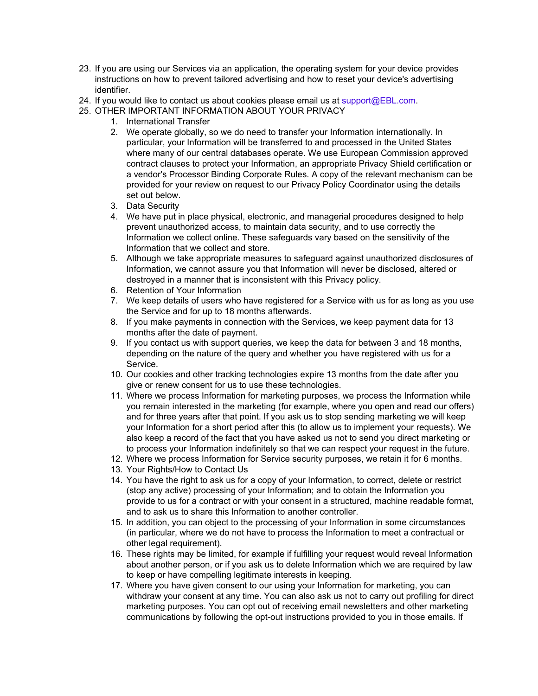- 23. If you are using our Services via an application, the operating system for your device provides instructions on how to prevent tailored advertising and how to reset your device's advertising identifier.
- 24. If you would like to contact us about cookies please email us at support@EBL.com.
- 25. OTHER IMPORTANT INFORMATION ABOUT YOUR PRIVACY
	- 1. International Transfer
	- 2. We operate globally, so we do need to transfer your Information internationally. In particular, your Information will be transferred to and processed in the United States where many of our central databases operate. We use European Commission approved contract clauses to protect your Information, an appropriate Privacy Shield certification or a vendor's Processor Binding Corporate Rules. A copy of the relevant mechanism can be provided for your review on request to our Privacy Policy Coordinator using the details set out below.
	- 3. Data Security
	- 4. We have put in place physical, electronic, and managerial procedures designed to help prevent unauthorized access, to maintain data security, and to use correctly the Information we collect online. These safeguards vary based on the sensitivity of the Information that we collect and store.
	- 5. Although we take appropriate measures to safeguard against unauthorized disclosures of Information, we cannot assure you that Information will never be disclosed, altered or destroyed in a manner that is inconsistent with this Privacy policy.
	- 6. Retention of Your Information
	- 7. We keep details of users who have registered for a Service with us for as long as you use the Service and for up to 18 months afterwards.
	- 8. If you make payments in connection with the Services, we keep payment data for 13 months after the date of payment.
	- 9. If you contact us with support queries, we keep the data for between 3 and 18 months, depending on the nature of the query and whether you have registered with us for a Service.
	- 10. Our cookies and other tracking technologies expire 13 months from the date after you give or renew consent for us to use these technologies.
	- 11. Where we process Information for marketing purposes, we process the Information while you remain interested in the marketing (for example, where you open and read our offers) and for three years after that point. If you ask us to stop sending marketing we will keep your Information for a short period after this (to allow us to implement your requests). We also keep a record of the fact that you have asked us not to send you direct marketing or to process your Information indefinitely so that we can respect your request in the future.
	- 12. Where we process Information for Service security purposes, we retain it for 6 months.
	- 13. Your Rights/How to Contact Us
	- 14. You have the right to ask us for a copy of your Information, to correct, delete or restrict (stop any active) processing of your Information; and to obtain the Information you provide to us for a contract or with your consent in a structured, machine readable format, and to ask us to share this Information to another controller.
	- 15. In addition, you can object to the processing of your Information in some circumstances (in particular, where we do not have to process the Information to meet a contractual or other legal requirement).
	- 16. These rights may be limited, for example if fulfilling your request would reveal Information about another person, or if you ask us to delete Information which we are required by law to keep or have compelling legitimate interests in keeping.
	- 17. Where you have given consent to our using your Information for marketing, you can withdraw your consent at any time. You can also ask us not to carry out profiling for direct marketing purposes. You can opt out of receiving email newsletters and other marketing communications by following the opt-out instructions provided to you in those emails. If